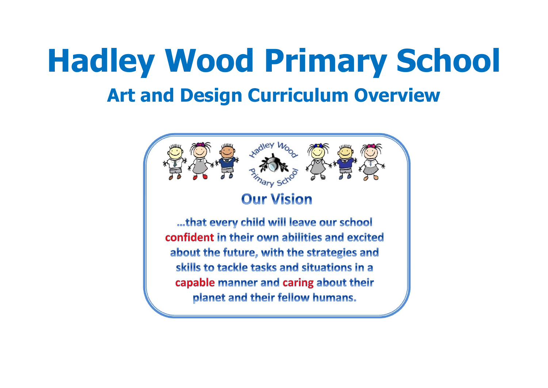# **Hadley Wood Primary School Art and Design Curriculum Overview**

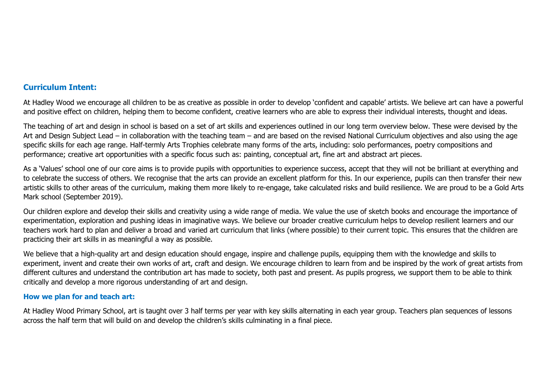## **Curriculum Intent:**

At Hadley Wood we encourage all children to be as creative as possible in order to develop 'confident and capable' artists. We believe art can have a powerful and positive effect on children, helping them to become confident, creative learners who are able to express their individual interests, thought and ideas.

The teaching of art and design in school is based on a set of art skills and experiences outlined in our long term overview below. These were devised by the Art and Design Subject Lead – in collaboration with the teaching team – and are based on the revised National Curriculum objectives and also using the age specific skills for each age range. Half-termly Arts Trophies celebrate many forms of the arts, including: solo performances, poetry compositions and performance; creative art opportunities with a specific focus such as: painting, conceptual art, fine art and abstract art pieces.

As a 'Values' school one of our core aims is to provide pupils with opportunities to experience success, accept that they will not be brilliant at everything and to celebrate the success of others. We recognise that the arts can provide an excellent platform for this. In our experience, pupils can then transfer their new artistic skills to other areas of the curriculum, making them more likely to re-engage, take calculated risks and build resilience. We are proud to be a Gold Arts Mark school (September 2019).

Our children explore and develop their skills and creativity using a wide range of media. We value the use of sketch books and encourage the importance of experimentation, exploration and pushing ideas in imaginative ways. We believe our broader creative curriculum helps to develop resilient learners and our teachers work hard to plan and deliver a broad and varied art curriculum that links (where possible) to their current topic. This ensures that the children are practicing their art skills in as meaningful a way as possible.

We believe that a high-quality art and design education should engage, inspire and challenge pupils, equipping them with the knowledge and skills to experiment, invent and create their own works of art, craft and design. We encourage children to learn from and be inspired by the work of great artists from different cultures and understand the contribution art has made to society, both past and present. As pupils progress, we support them to be able to think critically and develop a more rigorous understanding of art and design.

#### **How we plan for and teach art:**

At Hadley Wood Primary School, art is taught over 3 half terms per year with key skills alternating in each year group. Teachers plan sequences of lessons across the half term that will build on and develop the children's skills culminating in a final piece.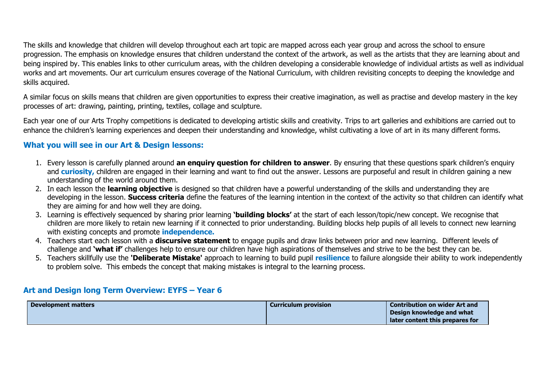The skills and knowledge that children will develop throughout each art topic are mapped across each year group and across the school to ensure progression. The emphasis on knowledge ensures that children understand the context of the artwork, as well as the artists that they are learning about and being inspired by. This enables links to other curriculum areas, with the children developing a considerable knowledge of individual artists as well as individual works and art movements. Our art curriculum ensures coverage of the National Curriculum, with children revisiting concepts to deeping the knowledge and skills acquired.

A similar focus on skills means that children are given opportunities to express their creative imagination, as well as practise and develop mastery in the key processes of art: drawing, painting, printing, textiles, collage and sculpture.

Each year one of our Arts Trophy competitions is dedicated to developing artistic skills and creativity. Trips to art galleries and exhibitions are carried out to enhance the children's learning experiences and deepen their understanding and knowledge, whilst cultivating a love of art in its many different forms.

# **What you will see in our Art & Design lessons:**

- 1. Every lesson is carefully planned around **an enquiry question for children to answer**. By ensuring that these questions spark children's enquiry and **curiosity,** children are engaged in their learning and want to find out the answer. Lessons are purposeful and result in children gaining a new understanding of the world around them.
- 2. In each lesson the **learning objective** is designed so that children have a powerful understanding of the skills and understanding they are developing in the lesson. **Success criteria** define the features of the learning intention in the context of the activity so that children can identify what they are aiming for and how well they are doing.
- 3. Learning is effectively sequenced by sharing prior learning **'building blocks'** at the start of each lesson/topic/new concept. We recognise that children are more likely to retain new learning if it connected to prior understanding. Building blocks help pupils of all levels to connect new learning with existing concepts and promote **independence.**
- 4. Teachers start each lesson with a **discursive statement** to engage pupils and draw links between prior and new learning. Different levels of challenge and **'what if'** challenges help to ensure our children have high aspirations of themselves and strive to be the best they can be.
- 5. Teachers skillfully use the **'Deliberate Mistake'** approach to learning to build pupil **resilience** to failure alongside their ability to work independently to problem solve. This embeds the concept that making mistakes is integral to the learning process.

### **Art and Design long Term Overview: EYFS – Year 6**

| <b>Development matters</b> | <b>Curriculum provision</b> | <b>Contribution on wider Art and</b> |
|----------------------------|-----------------------------|--------------------------------------|
|                            |                             | Design knowledge and what            |
|                            |                             | later content this prepares for      |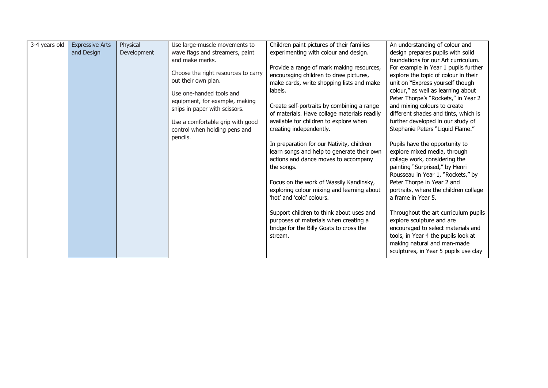| 3-4 years old | <b>Expressive Arts</b> | Physical    | Use large-muscle movements to                                                                                                                                                                                                              | Children paint pictures of their families                                                                                                                                                                                                                                                                                                                                                                                                                                                                                                                | An understanding of colour and                                                                                                                                                                                                                                                                                                                                                                                                                                                                                                                                                                  |
|---------------|------------------------|-------------|--------------------------------------------------------------------------------------------------------------------------------------------------------------------------------------------------------------------------------------------|----------------------------------------------------------------------------------------------------------------------------------------------------------------------------------------------------------------------------------------------------------------------------------------------------------------------------------------------------------------------------------------------------------------------------------------------------------------------------------------------------------------------------------------------------------|-------------------------------------------------------------------------------------------------------------------------------------------------------------------------------------------------------------------------------------------------------------------------------------------------------------------------------------------------------------------------------------------------------------------------------------------------------------------------------------------------------------------------------------------------------------------------------------------------|
|               | and Design             | Development | wave flags and streamers, paint                                                                                                                                                                                                            | experimenting with colour and design.                                                                                                                                                                                                                                                                                                                                                                                                                                                                                                                    | design prepares pupils with solid                                                                                                                                                                                                                                                                                                                                                                                                                                                                                                                                                               |
|               |                        |             | and make marks.                                                                                                                                                                                                                            |                                                                                                                                                                                                                                                                                                                                                                                                                                                                                                                                                          | foundations for our Art curriculum.                                                                                                                                                                                                                                                                                                                                                                                                                                                                                                                                                             |
|               |                        |             | Choose the right resources to carry<br>out their own plan.<br>Use one-handed tools and<br>equipment, for example, making<br>snips in paper with scissors.<br>Use a comfortable grip with good<br>control when holding pens and<br>pencils. | Provide a range of mark making resources,<br>encouraging children to draw pictures,<br>make cards, write shopping lists and make<br>labels.<br>Create self-portraits by combining a range<br>of materials. Have collage materials readily<br>available for children to explore when<br>creating independently.<br>In preparation for our Nativity, children<br>learn songs and help to generate their own<br>actions and dance moves to accompany<br>the songs.<br>Focus on the work of Wassily Kandinsky,<br>exploring colour mixing and learning about | For example in Year 1 pupils further<br>explore the topic of colour in their<br>unit on "Express yourself though<br>colour," as well as learning about<br>Peter Thorpe's "Rockets," in Year 2<br>and mixing colours to create<br>different shades and tints, which is<br>further developed in our study of<br>Stephanie Peters "Liquid Flame."<br>Pupils have the opportunity to<br>explore mixed media, through<br>collage work, considering the<br>painting "Surprised," by Henri<br>Rousseau in Year 1, "Rockets," by<br>Peter Thorpe in Year 2 and<br>portraits, where the children collage |
|               |                        |             |                                                                                                                                                                                                                                            | 'hot' and 'cold' colours.                                                                                                                                                                                                                                                                                                                                                                                                                                                                                                                                | a frame in Year 5.                                                                                                                                                                                                                                                                                                                                                                                                                                                                                                                                                                              |
|               |                        |             |                                                                                                                                                                                                                                            |                                                                                                                                                                                                                                                                                                                                                                                                                                                                                                                                                          |                                                                                                                                                                                                                                                                                                                                                                                                                                                                                                                                                                                                 |
|               |                        |             |                                                                                                                                                                                                                                            | Support children to think about uses and<br>purposes of materials when creating a<br>bridge for the Billy Goats to cross the<br>stream.                                                                                                                                                                                                                                                                                                                                                                                                                  | Throughout the art curriculum pupils<br>explore sculpture and are<br>encouraged to select materials and<br>tools, in Year 4 the pupils look at<br>making natural and man-made<br>sculptures, in Year 5 pupils use clay                                                                                                                                                                                                                                                                                                                                                                          |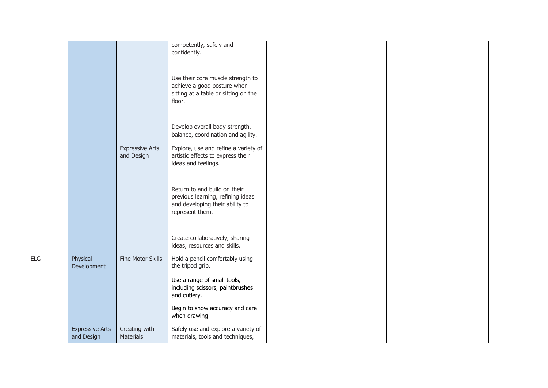|     |                                      |                                      | competently, safely and<br>confidently.                                                                                 |  |
|-----|--------------------------------------|--------------------------------------|-------------------------------------------------------------------------------------------------------------------------|--|
|     |                                      |                                      | Use their core muscle strength to<br>achieve a good posture when<br>sitting at a table or sitting on the<br>floor.      |  |
|     |                                      |                                      | Develop overall body-strength,<br>balance, coordination and agility.                                                    |  |
|     |                                      | <b>Expressive Arts</b><br>and Design | Explore, use and refine a variety of<br>artistic effects to express their<br>ideas and feelings.                        |  |
|     |                                      |                                      | Return to and build on their<br>previous learning, refining ideas<br>and developing their ability to<br>represent them. |  |
|     |                                      |                                      | Create collaboratively, sharing<br>ideas, resources and skills.                                                         |  |
| ELG | Physical<br>Development              | Fine Motor Skills                    | Hold a pencil comfortably using<br>the tripod grip.                                                                     |  |
|     |                                      |                                      | Use a range of small tools,<br>including scissors, paintbrushes<br>and cutlery.                                         |  |
|     |                                      |                                      | Begin to show accuracy and care<br>when drawing                                                                         |  |
|     | <b>Expressive Arts</b><br>and Design | Creating with<br><b>Materials</b>    | Safely use and explore a variety of<br>materials, tools and techniques,                                                 |  |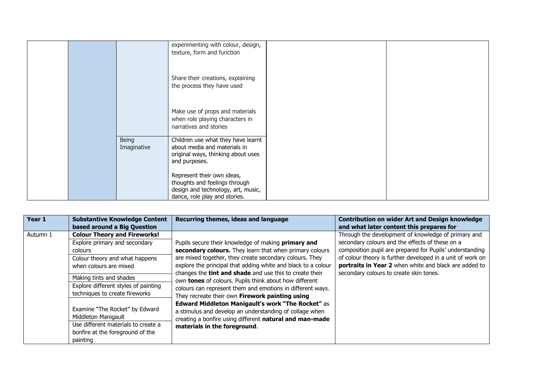|  |                      | experimenting with colour, design,<br>texture, form and function                                                                   |  |
|--|----------------------|------------------------------------------------------------------------------------------------------------------------------------|--|
|  |                      | Share their creations, explaining<br>the process they have used                                                                    |  |
|  |                      | Make use of props and materials<br>when role playing characters in<br>narratives and stories                                       |  |
|  | Being<br>Imaginative | Children use what they have learnt<br>about media and materials in<br>original ways, thinking about uses<br>and purposes.          |  |
|  |                      | Represent their own ideas,<br>thoughts and feelings through<br>design and technology, art, music,<br>dance, role play and stories. |  |

| Year 1   | <b>Substantive Knowledge Content</b><br>based around a Big Question                                                                          | Recurring themes, ideas and language                                                                                                                                                                                                       | <b>Contribution on wider Art and Design knowledge</b><br>and what later content this prepares for                                                                                                                                                                                         |
|----------|----------------------------------------------------------------------------------------------------------------------------------------------|--------------------------------------------------------------------------------------------------------------------------------------------------------------------------------------------------------------------------------------------|-------------------------------------------------------------------------------------------------------------------------------------------------------------------------------------------------------------------------------------------------------------------------------------------|
| Autumn 1 | <b>Colour Theory and Fireworks!</b><br>Explore primary and secondary<br>colours<br>Colour theory and what happens<br>when colours are mixed  | Pupils secure their knowledge of making primary and<br>secondary colours. They learn that when primary colours<br>are mixed together, they create secondary colours. They<br>explore the principal that adding white and black to a colour | Through the development of knowledge of primary and<br>secondary colours and the effects of these on a<br>composition pupil are prepared for Pupils' understanding<br>of colour theory is further developed in a unit of work on<br>portraits in Year 2 when white and black are added to |
|          | Making tints and shades<br>Explore different styles of painting<br>techniques to create fireworks                                            | changes the <b>tint and shade</b> and use this to create their<br>own tones of colours. Pupils think about how different<br>colours can represent them and emotions in different ways.<br>They recreate their own Firework painting using  | secondary colours to create skin tones.                                                                                                                                                                                                                                                   |
|          | Examine "The Rocket" by Edward<br>Middleton Manigault<br>Use different materials to create a<br>bonfire at the foreground of the<br>painting | Edward Middleton Manigault's work "The Rocket" as<br>a stimulus and develop an understanding of collage when<br>creating a bonfire using different natural and man-made<br>materials in the foreground.                                    |                                                                                                                                                                                                                                                                                           |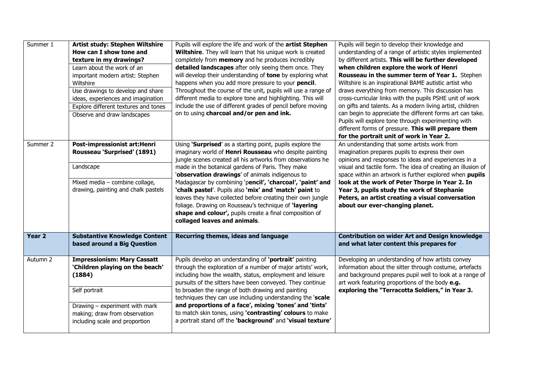| Summer 1          | Artist study: Stephen Wiltshire                                     | Pupils will explore the life and work of the artist Stephen                                                  | Pupils will begin to develop their knowledge and                                                          |
|-------------------|---------------------------------------------------------------------|--------------------------------------------------------------------------------------------------------------|-----------------------------------------------------------------------------------------------------------|
|                   | How can I show tone and                                             | Wiltshire. They will learn that his unique work is created                                                   | understanding of a range of artistic styles implemented                                                   |
|                   | texture in my drawings?                                             | completely from memory and he produces incredibly                                                            | by different artists. This will be further developed                                                      |
|                   | Learn about the work of an                                          | detailed landscapes after only seeing them once. They                                                        | when children explore the work of Henri                                                                   |
|                   | important modern artist: Stephen                                    | will develop their understanding of tone by exploring what                                                   | Rousseau in the summer term of Year 1. Stephen                                                            |
|                   | Wiltshire                                                           | happens when you add more pressure to your pencil.                                                           | Wiltshire is an inspirational BAME autistic artist who                                                    |
|                   | Use drawings to develop and share                                   | Throughout the course of the unit, pupils will use a range of                                                | draws everything from memory. This discussion has                                                         |
|                   | ideas, experiences and imagination                                  | different media to explore tone and highlighting. This will                                                  | cross-curricular links with the pupils PSHE unit of work                                                  |
|                   | Explore different textures and tones                                | include the use of different grades of pencil before moving                                                  | on gifts and talents. As a modern living artist, children                                                 |
|                   | Observe and draw landscapes                                         | on to using charcoal and/or pen and ink.                                                                     | can begin to appreciate the different forms art can take.                                                 |
|                   |                                                                     |                                                                                                              | Pupils will explore tone through experimenting with                                                       |
|                   |                                                                     |                                                                                                              | different forms of pressure. This will prepare them                                                       |
|                   |                                                                     |                                                                                                              | for the portrait unit of work in Year 2.                                                                  |
| Summer 2          | Post-impressionist art:Henri                                        | Using 'Surprised' as a starting point, pupils explore the                                                    | An understanding that some artists work from                                                              |
|                   | Rousseau 'Surprised' (1891)                                         | imaginary world of Henri Rousseau who despite painting                                                       | imagination prepares pupils to express their own                                                          |
|                   | Landscape                                                           | jungle scenes created all his artworks from observations he                                                  | opinions and responses to ideas and experiences in a                                                      |
|                   |                                                                     | made in the botanical gardens of Paris. They make                                                            | visual and tactile form. The idea of creating an illusion of                                              |
|                   | Mixed media - combine collage,                                      | 'observation drawings' of animals indigenous to<br>Madagascar by combining 'pencil', 'charcoal', 'paint' and | space within an artwork is further explored when pupils<br>look at the work of Peter Thorpe in Year 2. In |
|                   | drawing, painting and chalk pastels                                 | 'chalk pastel'. Pupils also 'mix' and 'match' paint to                                                       | Year 3, pupils study the work of Stephanie                                                                |
|                   |                                                                     | leaves they have collected before creating their own jungle                                                  | Peters, an artist creating a visual conversation                                                          |
|                   |                                                                     | foliage. Drawing on Rousseau's technique of 'layering                                                        | about our ever-changing planet.                                                                           |
|                   |                                                                     |                                                                                                              |                                                                                                           |
|                   |                                                                     |                                                                                                              |                                                                                                           |
|                   |                                                                     | shape and colour', pupils create a final composition of                                                      |                                                                                                           |
|                   |                                                                     | collaged leaves and animals.                                                                                 |                                                                                                           |
| Year <sub>2</sub> |                                                                     |                                                                                                              |                                                                                                           |
|                   | <b>Substantive Knowledge Content</b><br>based around a Big Question | Recurring themes, ideas and language                                                                         | <b>Contribution on wider Art and Design knowledge</b><br>and what later content this prepares for         |
|                   |                                                                     |                                                                                                              |                                                                                                           |
| Autumn 2          | <b>Impressionism: Mary Cassatt</b>                                  | Pupils develop an understanding of 'portrait' painting                                                       | Developing an understanding of how artists convey                                                         |
|                   | 'Children playing on the beach'                                     | through the exploration of a number of major artists' work,                                                  | information about the sitter through costume, artefacts                                                   |
|                   | (1884)                                                              | including how the wealth, status, employment and leisure                                                     | and background prepares pupil well to look at a range of                                                  |
|                   |                                                                     | pursuits of the sitters have been conveyed. They continue                                                    | art work featuring proportions of the body e.g.                                                           |
|                   | Self portrait                                                       | to broaden the range of both drawing and painting                                                            | exploring the "Terracotta Soldiers," in Year 3.                                                           |
|                   |                                                                     | techniques they can use including understanding the 'scale                                                   |                                                                                                           |
|                   | Drawing - experiment with mark                                      | and proportions of a face', mixing 'tones' and 'tints'                                                       |                                                                                                           |
|                   | making; draw from observation                                       | to match skin tones, using 'contrasting' colours to make                                                     |                                                                                                           |
|                   | including scale and proportion                                      | a portrait stand off the 'background' and 'visual texture'                                                   |                                                                                                           |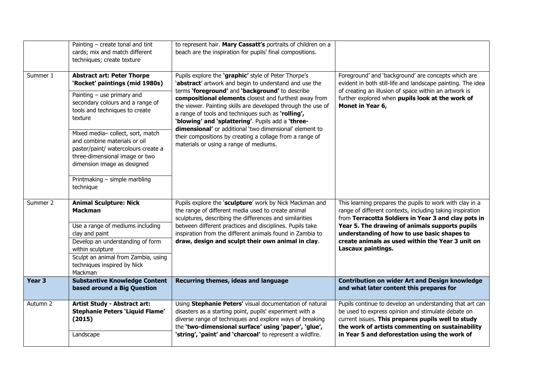|                   | Painting $-$ create tonal and tint<br>cards; mix and match different<br>techniques; create texture                                                                                                                                                                                                                                                                                                             | to represent hair. Mary Cassatt's portraits of children on a<br>beach are the inspiration for pupils' final compositions.                                                                                                                                                                                                                                                                                                                                                                                                                                              |                                                                                                                                                                                                                                                                                                                                                         |
|-------------------|----------------------------------------------------------------------------------------------------------------------------------------------------------------------------------------------------------------------------------------------------------------------------------------------------------------------------------------------------------------------------------------------------------------|------------------------------------------------------------------------------------------------------------------------------------------------------------------------------------------------------------------------------------------------------------------------------------------------------------------------------------------------------------------------------------------------------------------------------------------------------------------------------------------------------------------------------------------------------------------------|---------------------------------------------------------------------------------------------------------------------------------------------------------------------------------------------------------------------------------------------------------------------------------------------------------------------------------------------------------|
| Summer 1          | <b>Abstract art: Peter Thorpe</b><br>'Rocket' paintings (mid 1980s)<br>Painting $-$ use primary and<br>secondary colours and a range of<br>tools and techniques to create<br>texture<br>Mixed media-collect, sort, match<br>and combine materials or oil<br>paster/paint/ watercolours create a<br>three-dimensional image or two<br>dimension image as designed<br>Printmaking - simple marbling<br>technique | Pupils explore the 'graphic' style of Peter Thorpe's<br>'abstract' artwork and begin to understand and use the<br>terms 'foreground' and 'background' to describe<br>compositional elements closest and furthest away from<br>the viewer. Painting skills are developed through the use of<br>a range of tools and techniques such as 'rolling',<br>'blowing' and 'splattering'. Pupils add a 'three-<br>dimensional' or additional 'two dimensional' element to<br>their compositions by creating a collage from a range of<br>materials or using a range of mediums. | Foreground' and 'background' are concepts which are<br>evident in both still-life and landscape painting. The idea<br>of creating an illusion of space within an artwork is<br>further explored when pupils look at the work of<br>Monet in Year 6,                                                                                                     |
| Summer 2          | <b>Animal Sculpture: Nick</b><br><b>Mackman</b><br>Use a range of mediums including<br>clay and paint<br>Develop an understanding of form<br>within sculpture<br>Sculpt an animal from Zambia, using<br>techniques inspired by Nick<br>Mackman                                                                                                                                                                 | Pupils explore the 'sculpture' work by Nick Mackman and<br>the range of different media used to create animal<br>sculptures, describing the differences and similarities<br>between different practices and disciplines. Pupils take<br>inspiration from the different animals found in Zambia to<br>draw, design and sculpt their own animal in clay.                                                                                                                                                                                                                 | This learning prepares the pupils to work with clay in a<br>range of different contexts, including taking inspiration<br>from Terracotta Soldiers in Year 3 and clay pots in<br>Year 5. The drawing of animals supports pupils<br>understanding of how to use basic shapes to<br>create animals as used within the Year 3 unit on<br>Lascaux paintings. |
| Year <sub>3</sub> | <b>Substantive Knowledge Content</b><br>based around a Big Question                                                                                                                                                                                                                                                                                                                                            | Recurring themes, ideas and language                                                                                                                                                                                                                                                                                                                                                                                                                                                                                                                                   | <b>Contribution on wider Art and Design knowledge</b><br>and what later content this prepares for                                                                                                                                                                                                                                                       |
| Autumn 2          | <b>Artist Study - Abstract art:</b><br><b>Stephanie Peters 'Liquid Flame'</b><br>(2015)<br>Landscape                                                                                                                                                                                                                                                                                                           | Using Stephanie Peters' visual documentation of natural<br>disasters as a starting point, pupils' experiment with a<br>diverse range of techniques and explore ways of breaking<br>the 'two-dimensional surface' using 'paper', 'glue',<br>'string', 'paint' and 'charcoal' to represent a wildfire.                                                                                                                                                                                                                                                                   | Pupils continue to develop an understanding that art can<br>be used to express opinion and stimulate debate on<br>current issues. This prepares pupils well to study<br>the work of artists commenting on sustainability<br>in Year 5 and deforestation using the work of                                                                               |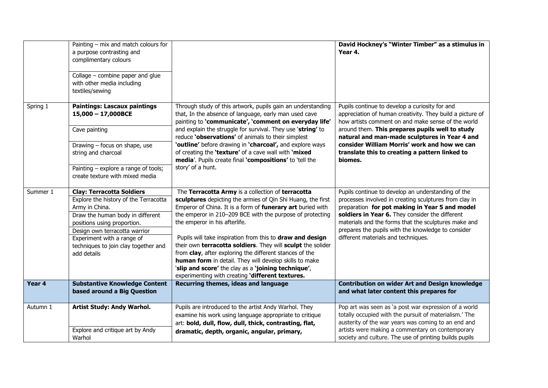|          | Painting $-$ mix and match colours for<br>a purpose contrasting and<br>complimentary colours<br>Collage - combine paper and glue<br>with other media including<br>textiles/sewing                                                                                                    |                                                                                                                                                                                                                                                                                                                                                                                                                                                                                                                                                                                                                                          | David Hockney's "Winter Timber" as a stimulus in<br>Year 4.                                                                                                                                                                                                                                                                                                                        |
|----------|--------------------------------------------------------------------------------------------------------------------------------------------------------------------------------------------------------------------------------------------------------------------------------------|------------------------------------------------------------------------------------------------------------------------------------------------------------------------------------------------------------------------------------------------------------------------------------------------------------------------------------------------------------------------------------------------------------------------------------------------------------------------------------------------------------------------------------------------------------------------------------------------------------------------------------------|------------------------------------------------------------------------------------------------------------------------------------------------------------------------------------------------------------------------------------------------------------------------------------------------------------------------------------------------------------------------------------|
| Spring 1 | <b>Paintings: Lascaux paintings</b><br>15,000 - 17,000BCE<br>Cave painting<br>Drawing - focus on shape, use<br>string and charcoal<br>Painting - explore a range of tools;<br>create texture with mixed media                                                                        | Through study of this artwork, pupils gain an understanding<br>that, In the absence of language, early man used cave<br>painting to 'communicate', 'comment on everyday life'<br>and explain the struggle for survival. They use 'string' to<br>reduce 'observations' of animals to their simplest<br>'outline' before drawing in 'charcoal', and explore ways<br>of creating the 'texture' of a cave wall with 'mixed<br>media'. Pupils create final 'compositions' to 'tell the<br>story' of a hunt.                                                                                                                                   | Pupils continue to develop a curiosity for and<br>appreciation of human creativity. They build a picture of<br>how artists comment on and make sense of the world<br>around them. This prepares pupils well to study<br>natural and man-made sculptures in Year 4 and<br>consider William Morris' work and how we can<br>translate this to creating a pattern linked to<br>biomes. |
| Summer 1 | <b>Clay: Terracotta Soldiers</b><br>Explore the history of the Terracotta<br>Army in China.<br>Draw the human body in different<br>positions using proportion.<br>Design own terracotta warrior<br>Experiment with a range of<br>techniques to join clay together and<br>add details | The Terracotta Army is a collection of terracotta<br>sculptures depicting the armies of Qin Shi Huang, the first<br>Emperor of China. It is a form of funerary art buried with<br>the emperor in 210-209 BCE with the purpose of protecting<br>the emperor in his afterlife.<br>Pupils will take inspiration from this to draw and design<br>their own terracotta soldiers. They will sculpt the solider<br>from clay, after exploring the different stances of the<br>human form in detail. They will develop skills to make<br>'slip and score' the clay as a 'joining technique',<br>experimenting with creating 'different textures. | Pupils continue to develop an understanding of the<br>processes involved in creating sculptures from clay in<br>preparation for pot making in Year 5 and model<br>soldiers in Year 6. They consider the different<br>materials and the forms that the sculptures make and<br>prepares the pupils with the knowledge to consider<br>different materials and techniques.             |
| Year 4   | <b>Substantive Knowledge Content</b><br>based around a Big Question                                                                                                                                                                                                                  | Recurring themes, ideas and language                                                                                                                                                                                                                                                                                                                                                                                                                                                                                                                                                                                                     | <b>Contribution on wider Art and Design knowledge</b><br>and what later content this prepares for                                                                                                                                                                                                                                                                                  |
| Autumn 1 | Artist Study: Andy Warhol.<br>Explore and critique art by Andy<br>Warhol                                                                                                                                                                                                             | Pupils are introduced to the artist Andy Warhol. They<br>examine his work using language appropriate to critique<br>art: bold, dull, flow, dull, thick, contrasting, flat,<br>dramatic, depth, organic, angular, primary,                                                                                                                                                                                                                                                                                                                                                                                                                | Pop art was seen as 'a post war expression of a world<br>totally occupied with the pursuit of materialism.' The<br>austerity of the war years was coming to an end and<br>artists were making a commentary on contemporary<br>society and culture. The use of printing builds pupils                                                                                               |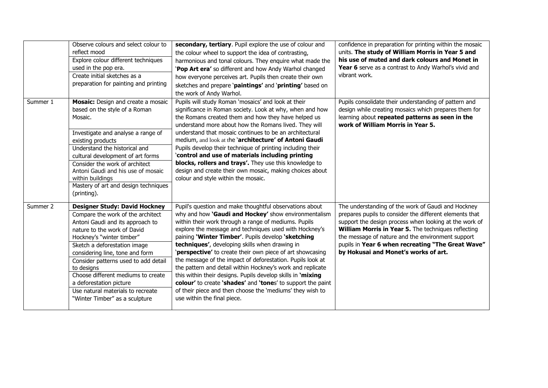|          | Observe colours and select colour to<br>reflect mood<br>Explore colour different techniques<br>used in the pop era.<br>Create initial sketches as a<br>preparation for painting and printing                                                                                                                                                                                                                                               | secondary, tertiary. Pupil explore the use of colour and<br>the colour wheel to support the idea of contrasting,<br>harmonious and tonal colours. They enquire what made the<br>'Pop Art era' so different and how Andy Warhol changed<br>how everyone perceives art. Pupils then create their own<br>sketches and prepare 'paintings' and 'printing' based on<br>the work of Andy Warhol.                                                                                                                                                                                                                                                                                                                                                                   | confidence in preparation for printing within the mosaic<br>units. The study of William Morris in Year 5 and<br>his use of muted and dark colours and Monet in<br>Year 6 serve as a contrast to Andy Warhol's vivid and<br>vibrant work.                                                                                                                                         |
|----------|--------------------------------------------------------------------------------------------------------------------------------------------------------------------------------------------------------------------------------------------------------------------------------------------------------------------------------------------------------------------------------------------------------------------------------------------|--------------------------------------------------------------------------------------------------------------------------------------------------------------------------------------------------------------------------------------------------------------------------------------------------------------------------------------------------------------------------------------------------------------------------------------------------------------------------------------------------------------------------------------------------------------------------------------------------------------------------------------------------------------------------------------------------------------------------------------------------------------|----------------------------------------------------------------------------------------------------------------------------------------------------------------------------------------------------------------------------------------------------------------------------------------------------------------------------------------------------------------------------------|
| Summer 1 | Mosaic: Design and create a mosaic<br>based on the style of a Roman<br>Mosaic.<br>Investigate and analyse a range of<br>existing products<br>Understand the historical and<br>cultural development of art forms<br>Consider the work of architect<br>Antoni Gaudi and his use of mosaic<br>within buildings<br>Mastery of art and design techniques<br>(printing).                                                                         | Pupils will study Roman 'mosaics' and look at their<br>significance in Roman society. Look at why, when and how<br>the Romans created them and how they have helped us<br>understand more about how the Romans lived. They will<br>understand that mosaic continues to be an architectural<br>medium, and look at the 'architecture' of Antoni Gaudi<br>Pupils develop their technique of printing including their<br>`control and use of materials including printing<br>blocks, rollers and trays'. They use this knowledge to<br>design and create their own mosaic, making choices about<br>colour and style within the mosaic.                                                                                                                          | Pupils consolidate their understanding of pattern and<br>design while creating mosaics which prepares them for<br>learning about repeated patterns as seen in the<br>work of William Morris in Year 5.                                                                                                                                                                           |
| Summer 2 | <b>Designer Study: David Hockney</b><br>Compare the work of the architect<br>Antoni Gaudi and its approach to<br>nature to the work of David<br>Hockney's "winter timber"<br>Sketch a deforestation image<br>considering line, tone and form<br>Consider patterns used to add detail<br>to designs<br>Choose different mediums to create<br>a deforestation picture<br>Use natural materials to recreate<br>"Winter Timber" as a sculpture | Pupil's question and make thoughtful observations about<br>why and how 'Gaudi and Hockey' show environmentalism<br>within their work through a range of mediums. Pupils<br>explore the message and techniques used with Hockney's<br>paining 'Winter Timber'. Pupils develop 'sketching<br>techniques', developing skills when drawing in<br>'perspective' to create their own piece of art showcasing<br>the message of the impact of deforestation. Pupils look at<br>the pattern and detail within Hockney's work and replicate<br>this within their designs. Pupils develop skills in 'mixing<br>colour' to create 'shades' and 'tones' to support the paint<br>of their piece and then choose the 'mediums' they wish to<br>use within the final piece. | The understanding of the work of Gaudi and Hockney<br>prepares pupils to consider the different elements that<br>support the design process when looking at the work of<br>William Morris in Year 5. The techniques reflecting<br>the message of nature and the environment support<br>pupils in Year 6 when recreating "The Great Wave"<br>by Hokusai and Monet's works of art. |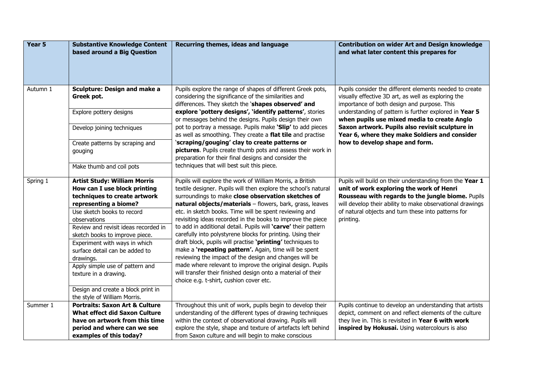| Year 5   | <b>Substantive Knowledge Content</b><br>based around a Big Question                                                                                                                                                                                                                                                                                                                                                                                                    | Recurring themes, ideas and language                                                                                                                                                                                                                                                                                                                                                                                                                                                                                                                                                                                                                                                                                                                                                                                                                               | <b>Contribution on wider Art and Design knowledge</b><br>and what later content this prepares for                                                                                                                                                                                          |
|----------|------------------------------------------------------------------------------------------------------------------------------------------------------------------------------------------------------------------------------------------------------------------------------------------------------------------------------------------------------------------------------------------------------------------------------------------------------------------------|--------------------------------------------------------------------------------------------------------------------------------------------------------------------------------------------------------------------------------------------------------------------------------------------------------------------------------------------------------------------------------------------------------------------------------------------------------------------------------------------------------------------------------------------------------------------------------------------------------------------------------------------------------------------------------------------------------------------------------------------------------------------------------------------------------------------------------------------------------------------|--------------------------------------------------------------------------------------------------------------------------------------------------------------------------------------------------------------------------------------------------------------------------------------------|
| Autumn 1 | <b>Sculpture: Design and make a</b><br>Greek pot.                                                                                                                                                                                                                                                                                                                                                                                                                      | Pupils explore the range of shapes of different Greek pots,<br>considering the significance of the similarities and<br>differences. They sketch the 'shapes observed' and                                                                                                                                                                                                                                                                                                                                                                                                                                                                                                                                                                                                                                                                                          | Pupils consider the different elements needed to create<br>visually effective 3D art, as well as exploring the<br>importance of both design and purpose. This                                                                                                                              |
|          | Explore pottery designs                                                                                                                                                                                                                                                                                                                                                                                                                                                | explore 'pottery designs', 'identify patterns', stories<br>or messages behind the designs. Pupils design their own                                                                                                                                                                                                                                                                                                                                                                                                                                                                                                                                                                                                                                                                                                                                                 | understanding of pattern is further explored in Year 5<br>when pupils use mixed media to create Anglo                                                                                                                                                                                      |
|          | Develop joining techniques                                                                                                                                                                                                                                                                                                                                                                                                                                             | pot to portray a message. Pupils make 'Slip' to add pieces<br>as well as smoothing. They create a flat tile and practise                                                                                                                                                                                                                                                                                                                                                                                                                                                                                                                                                                                                                                                                                                                                           | Saxon artwork. Pupils also revisit sculpture in<br>Year 6, where they make Soldiers and consider                                                                                                                                                                                           |
|          | Create patterns by scraping and<br>gouging                                                                                                                                                                                                                                                                                                                                                                                                                             | 'scraping/gouging' clay to create patterns or<br>pictures. Pupils create thumb pots and assess their work in<br>preparation for their final designs and consider the                                                                                                                                                                                                                                                                                                                                                                                                                                                                                                                                                                                                                                                                                               | how to develop shape and form.                                                                                                                                                                                                                                                             |
|          | Make thumb and coil pots                                                                                                                                                                                                                                                                                                                                                                                                                                               | techniques that will best suit this piece.                                                                                                                                                                                                                                                                                                                                                                                                                                                                                                                                                                                                                                                                                                                                                                                                                         |                                                                                                                                                                                                                                                                                            |
| Spring 1 | <b>Artist Study: William Morris</b><br>How can I use block printing<br>techniques to create artwork<br>representing a biome?<br>Use sketch books to record<br>observations<br>Review and revisit ideas recorded in<br>sketch books to improve piece.<br>Experiment with ways in which<br>surface detail can be added to<br>drawings.<br>Apply simple use of pattern and<br>texture in a drawing.<br>Design and create a block print in<br>the style of William Morris. | Pupils will explore the work of William Morris, a British<br>textile designer. Pupils will then explore the school's natural<br>surroundings to make close observation sketches of<br>natural objects/materials - flowers, bark, grass, leaves<br>etc. in sketch books. Time will be spent reviewing and<br>revisiting ideas recorded in the books to improve the piece<br>to add in additional detail. Pupils will 'carve' their pattern<br>carefully into polystyrene blocks for printing. Using their<br>draft block, pupils will practise 'printing' techniques to<br>make a 'repeating pattern'. Again, time will be spent<br>reviewing the impact of the design and changes will be<br>made where relevant to improve the original design. Pupils<br>will transfer their finished design onto a material of their<br>choice e.g. t-shirt, cushion cover etc. | Pupils will build on their understanding from the Year 1<br>unit of work exploring the work of Henri<br>Rousseau with regards to the jungle biome. Pupils<br>will develop their ability to make observational drawings<br>of natural objects and turn these into patterns for<br>printing. |
| Summer 1 | <b>Portraits: Saxon Art &amp; Culture</b><br><b>What effect did Saxon Culture</b><br>have on artwork from this time<br>period and where can we see<br>examples of this today?                                                                                                                                                                                                                                                                                          | Throughout this unit of work, pupils begin to develop their<br>understanding of the different types of drawing techniques<br>within the context of observational drawing. Pupils will<br>explore the style, shape and texture of artefacts left behind<br>from Saxon culture and will begin to make conscious                                                                                                                                                                                                                                                                                                                                                                                                                                                                                                                                                      | Pupils continue to develop an understanding that artists<br>depict, comment on and reflect elements of the culture<br>they live in. This is revisited in Year 6 with work<br>inspired by Hokusai. Using watercolours is also                                                               |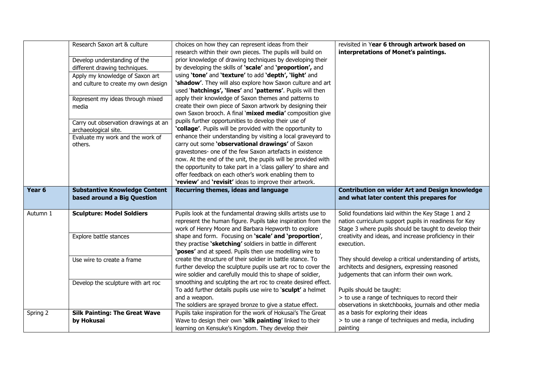|          | Research Saxon art & culture         | choices on how they can represent ideas from their             | revisited in Year 6 through artwork based on             |
|----------|--------------------------------------|----------------------------------------------------------------|----------------------------------------------------------|
|          |                                      | research within their own pieces. The pupils will build on     | interpretations of Monet's paintings.                    |
|          | Develop understanding of the         | prior knowledge of drawing techniques by developing their      |                                                          |
|          | different drawing techniques.        | by developing the skills of 'scale' and 'proportion', and      |                                                          |
|          | Apply my knowledge of Saxon art      | using 'tone' and 'texture' to add 'depth', 'light' and         |                                                          |
|          | and culture to create my own design  | 'shadow'. They will also explore how Saxon culture and art     |                                                          |
|          |                                      | used 'hatchings', 'lines' and 'patterns'. Pupils will then     |                                                          |
|          | Represent my ideas through mixed     | apply their knowledge of Saxon themes and patterns to          |                                                          |
|          | media                                | create their own piece of Saxon artwork by designing their     |                                                          |
|          |                                      | own Saxon brooch. A final 'mixed media' composition give       |                                                          |
|          | Carry out observation drawings at an | pupils further opportunities to develop their use of           |                                                          |
|          | archaeological site.                 | 'collage'. Pupils will be provided with the opportunity to     |                                                          |
|          | Evaluate my work and the work of     | enhance their understanding by visiting a local graveyard to   |                                                          |
|          | others.                              | carry out some 'observational drawings' of Saxon               |                                                          |
|          |                                      | gravestones- one of the few Saxon artefacts in existence       |                                                          |
|          |                                      | now. At the end of the unit, the pupils will be provided with  |                                                          |
|          |                                      | the opportunity to take part in a 'class gallery' to share and |                                                          |
|          |                                      | offer feedback on each other's work enabling them to           |                                                          |
|          |                                      | 'review' and 'revisit' ideas to improve their artwork.         |                                                          |
|          |                                      |                                                                |                                                          |
| Year 6   | <b>Substantive Knowledge Content</b> | Recurring themes, ideas and language                           | <b>Contribution on wider Art and Design knowledge</b>    |
|          | based around a Big Question          |                                                                | and what later content this prepares for                 |
|          |                                      |                                                                |                                                          |
| Autumn 1 | <b>Sculpture: Model Soldiers</b>     | Pupils look at the fundamental drawing skills artists use to   | Solid foundations laid within the Key Stage 1 and 2      |
|          |                                      | represent the human figure. Pupils take inspiration from the   | nation curriculum support pupils in readiness for Key    |
|          |                                      | work of Henry Moore and Barbara Hepworth to explore            | Stage 3 where pupils should be taught to develop their   |
|          | Explore battle stances               | shape and form. Focusing on 'scale' and 'proportion',          | creativity and ideas, and increase proficiency in their  |
|          |                                      | they practise 'sketching' soldiers in battle in different      | execution.                                               |
|          |                                      | 'poses' and at speed. Pupils then use modelling wire to        |                                                          |
|          | Use wire to create a frame           | create the structure of their soldier in battle stance. To     | They should develop a critical understanding of artists, |
|          |                                      | further develop the sculpture pupils use art roc to cover the  | architects and designers, expressing reasoned            |
|          |                                      | wire soldier and carefully mould this to shape of soldier,     | judgements that can inform their own work.               |
|          | Develop the sculpture with art roc   | smoothing and sculpting the art roc to create desired effect.  |                                                          |
|          |                                      | To add further details pupils use wire to 'sculpt' a helmet    | Pupils should be taught:                                 |
|          |                                      | and a weapon.                                                  | > to use a range of techniques to record their           |
|          |                                      | The soldiers are sprayed bronze to give a statue effect.       | observations in sketchbooks, journals and other media    |
| Spring 2 | <b>Silk Painting: The Great Wave</b> | Pupils take inspiration for the work of Hokusai's The Great    | as a basis for exploring their ideas                     |
|          | by Hokusai                           | Wave to design their own 'silk painting' linked to their       | > to use a range of techniques and media, including      |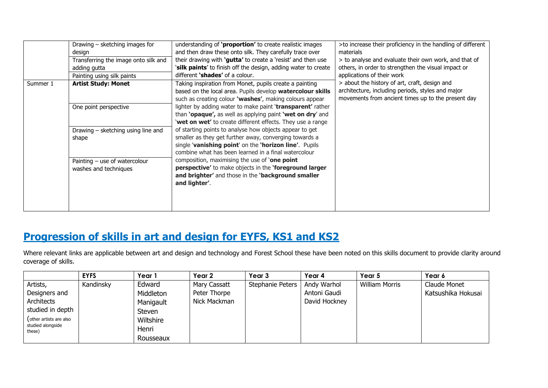|          | Drawing - sketching images for<br>design<br>Transferring the image onto silk and<br>adding gutta<br>Painting using silk paints | understanding of 'proportion' to create realistic images<br>and then draw these onto silk. They carefully trace over<br>their drawing with 'gutta' to create a 'resist' and then use<br>'silk paints' to finish off the design, adding water to create<br>different 'shades' of a colour.                                                                                                                                   | >to increase their proficiency in the handling of different<br>materials<br>> to analyse and evaluate their own work, and that of<br>others, in order to strengthen the visual impact or<br>applications of their work |  |  |  |
|----------|--------------------------------------------------------------------------------------------------------------------------------|-----------------------------------------------------------------------------------------------------------------------------------------------------------------------------------------------------------------------------------------------------------------------------------------------------------------------------------------------------------------------------------------------------------------------------|------------------------------------------------------------------------------------------------------------------------------------------------------------------------------------------------------------------------|--|--|--|
| Summer 1 | <b>Artist Study: Monet</b>                                                                                                     | Taking inspiration from Monet, pupils create a painting<br>based on the local area. Pupils develop watercolour skills<br>such as creating colour 'washes', making colours appear                                                                                                                                                                                                                                            | > about the history of art, craft, design and<br>architecture, including periods, styles and major<br>movements from ancient times up to the present day                                                               |  |  |  |
|          | One point perspective                                                                                                          | lighter by adding water to make paint 'transparent' rather<br>than 'opaque', as well as applying paint 'wet on dry' and<br>'wet on wet' to create different effects. They use a range                                                                                                                                                                                                                                       |                                                                                                                                                                                                                        |  |  |  |
|          | Drawing - sketching using line and<br>shape                                                                                    | of starting points to analyse how objects appear to get<br>smaller as they get further away, converging towards a<br>single 'vanishing point' on the 'horizon line'. Pupils<br>combine what has been learned in a final watercolour<br>composition, maximising the use of <b>one point</b><br>perspective' to make objects in the 'foreground larger<br>and brighter' and those in the 'background smaller<br>and lighter'. |                                                                                                                                                                                                                        |  |  |  |
|          | Painting - use of watercolour<br>washes and techniques                                                                         |                                                                                                                                                                                                                                                                                                                                                                                                                             |                                                                                                                                                                                                                        |  |  |  |

# **Progression of skills in art and design for EYFS, KS1 and KS2**

Where relevant links are applicable between art and design and technology and Forest School these have been noted on this skills document to provide clarity around coverage of skills.

|                             | <b>EYFS</b> | Year 1    | Year 2       | Year 3           | Year 4        | Year 5                | Year 6             |
|-----------------------------|-------------|-----------|--------------|------------------|---------------|-----------------------|--------------------|
| Artists,                    | Kandinsky   | Edward    | Mary Cassatt | Stephanie Peters | Andy Warhol   | <b>William Morris</b> | Claude Monet       |
| Designers and               |             | Middleton | Peter Thorpe |                  | Antoni Gaudi  |                       | Katsushika Hokusai |
| Architects                  |             | Manigault | Nick Mackman |                  | David Hockney |                       |                    |
| studied in depth            |             | Steven    |              |                  |               |                       |                    |
| (other artists are also     |             | Wiltshire |              |                  |               |                       |                    |
| studied alongside<br>these) |             | Henri     |              |                  |               |                       |                    |
|                             |             | Rousseaux |              |                  |               |                       |                    |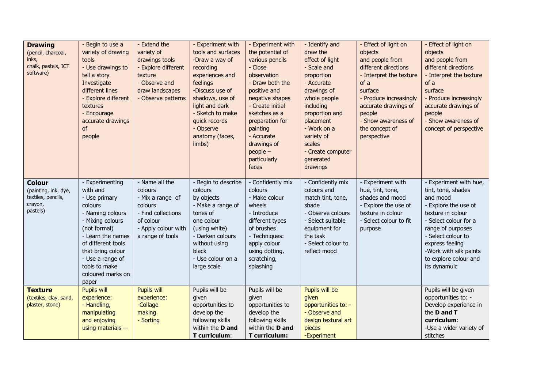| <b>Drawing</b><br>(pencil, charcoal,<br>inks,<br>chalk, pastels, ICT<br>software)  | - Begin to use a<br>variety of drawing<br>tools<br>- Use drawings to<br>tell a story<br>Investigate<br>different lines<br>- Explore different<br>textures<br>- Encourage<br>accurate drawings<br>of<br>people                                      | - Extend the<br>variety of<br>drawings tools<br>- Explore different<br>texture<br>- Observe and<br>draw landscapes<br>- Observe patterns | - Experiment with<br>tools and surfaces<br>-Draw a way of<br>recording<br>experiences and<br>feelings<br>-Discuss use of<br>shadows, use of<br>light and dark<br>- Sketch to make<br>quick records<br>- Observe<br>anatomy (faces,<br>limbs) | - Experiment with<br>the potential of<br>various pencils<br>- Close<br>observation<br>- Draw both the<br>positive and<br>negative shapes<br>- Create initial<br>sketches as a<br>preparation for<br>painting<br>- Accurate<br>drawings of<br>$people -$<br>particularly<br>faces | - Identify and<br>draw the<br>effect of light<br>- Scale and<br>proportion<br>- Accurate<br>drawings of<br>whole people<br>including<br>proportion and<br>placement<br>- Work on a<br>variety of<br>scales<br>- Create computer<br>generated<br>drawings | - Effect of light on<br>objects<br>and people from<br>different directions<br>- Interpret the texture<br>of a<br>surface<br>- Produce increasingly<br>accurate drawings of<br>people<br>- Show awareness of<br>the concept of<br>perspective | - Effect of light on<br>objects<br>and people from<br>different directions<br>- Interpret the texture<br>of a<br>surface<br>- Produce increasingly<br>accurate drawings of<br>people<br>- Show awareness of<br>concept of perspective                           |
|------------------------------------------------------------------------------------|----------------------------------------------------------------------------------------------------------------------------------------------------------------------------------------------------------------------------------------------------|------------------------------------------------------------------------------------------------------------------------------------------|----------------------------------------------------------------------------------------------------------------------------------------------------------------------------------------------------------------------------------------------|----------------------------------------------------------------------------------------------------------------------------------------------------------------------------------------------------------------------------------------------------------------------------------|----------------------------------------------------------------------------------------------------------------------------------------------------------------------------------------------------------------------------------------------------------|----------------------------------------------------------------------------------------------------------------------------------------------------------------------------------------------------------------------------------------------|-----------------------------------------------------------------------------------------------------------------------------------------------------------------------------------------------------------------------------------------------------------------|
| <b>Colour</b><br>(painting, ink, dye,<br>textiles, pencils,<br>crayon,<br>pastels) | - Experimenting<br>with and<br>- Use primary<br>colours<br>- Naming colours<br>- Mixing colours<br>(not formal)<br>- Learn the names<br>of different tools<br>that bring colour<br>- Use a range of<br>tools to make<br>coloured marks on<br>paper | - Name all the<br>colours<br>- Mix a range of<br>colours<br>- Find collections<br>of colour<br>- Apply colour with<br>a range of tools   | - Begin to describe<br>colours<br>by objects<br>- Make a range of<br>tones of<br>one colour<br>(using white)<br>- Darken colours<br>without using<br>black<br>- Use colour on a<br>large scale                                               | - Confidently mix<br>colours<br>- Make colour<br>wheels<br>- Introduce<br>different types<br>of brushes<br>- Techniques:<br>apply colour<br>using dotting,<br>scratching,<br>splashing                                                                                           | - Confidently mix<br>colours and<br>match tint, tone,<br>shade<br>- Observe colours<br>- Select suitable<br>equipment for<br>the task<br>- Select colour to<br>reflect mood                                                                              | - Experiment with<br>hue, tint, tone,<br>shades and mood<br>- Explore the use of<br>texture in colour<br>- Select colour to fit<br>purpose                                                                                                   | - Experiment with hue,<br>tint, tone, shades<br>and mood<br>- Explore the use of<br>texture in colour<br>- Select colour for a<br>range of purposes<br>- Select colour to<br>express feeling<br>-Work with silk paints<br>to explore colour and<br>its dynamuic |
| <b>Texture</b><br>(textiles, clay, sand,<br>plaster, stone)                        | Pupils will<br>experience:<br>- Handling,<br>manipulating<br>and enjoying<br>using materials --                                                                                                                                                    | <b>Pupils will</b><br>experience:<br>-Collage<br>making<br>- Sorting                                                                     | Pupils will be<br>given<br>opportunities to<br>develop the<br>following skills<br>within the D and<br>T curriculum:                                                                                                                          | Pupils will be<br>given<br>opportunities to<br>develop the<br>following skills<br>within the <b>D</b> and<br>T curriculum:                                                                                                                                                       | Pupils will be<br>given<br>opportunities to: -<br>- Observe and<br>design textural art<br>pieces<br>-Experiment                                                                                                                                          |                                                                                                                                                                                                                                              | Pupils will be given<br>opportunities to: -<br>Develop experience in<br>the <b>D</b> and <b>T</b><br>curriculum:<br>-Use a wider variety of<br>stitches                                                                                                         |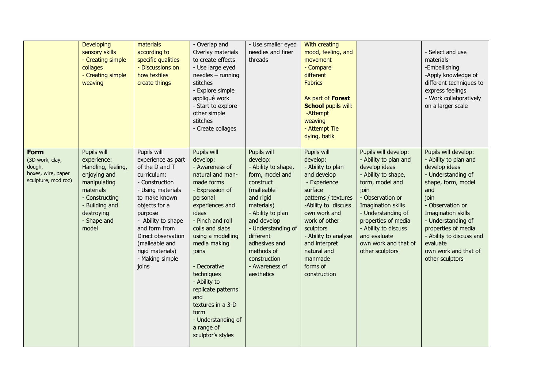|                                                                                       | <b>Developing</b><br>sensory skills<br>- Creating simple<br>collages<br>- Creating simple<br>weaving                                                                    | materials<br>according to<br>specific qualities<br>- Discussions on<br>how textiles<br>create things                                                                                                                                                                                  | - Overlap and<br>Overlay materials<br>to create effects<br>- Use large eyed<br>$needles$ - running<br>stitches<br>- Explore simple<br>appliqué work<br>- Start to explore<br>other simple<br>stitches<br>- Create collages                                                                                                                                                                   | - Use smaller eyed<br>needles and finer<br>threads                                                                                                                                                                                                                            | With creating<br>mood, feeling, and<br>movement<br>- Compare<br>different<br><b>Fabrics</b><br>As part of <b>Forest</b><br><b>School pupils will:</b><br>-Attempt<br>weaving<br>- Attempt Tie<br>dying, batik                                                                     |                                                                                                                                                                                                                                                                                            | - Select and use<br>materials<br>-Embellishing<br>-Apply knowledge of<br>different techniques to<br>express feelings<br>- Work collaboratively<br>on a larger scale                                                                                                                                 |
|---------------------------------------------------------------------------------------|-------------------------------------------------------------------------------------------------------------------------------------------------------------------------|---------------------------------------------------------------------------------------------------------------------------------------------------------------------------------------------------------------------------------------------------------------------------------------|----------------------------------------------------------------------------------------------------------------------------------------------------------------------------------------------------------------------------------------------------------------------------------------------------------------------------------------------------------------------------------------------|-------------------------------------------------------------------------------------------------------------------------------------------------------------------------------------------------------------------------------------------------------------------------------|-----------------------------------------------------------------------------------------------------------------------------------------------------------------------------------------------------------------------------------------------------------------------------------|--------------------------------------------------------------------------------------------------------------------------------------------------------------------------------------------------------------------------------------------------------------------------------------------|-----------------------------------------------------------------------------------------------------------------------------------------------------------------------------------------------------------------------------------------------------------------------------------------------------|
| <b>Form</b><br>(3D work, clay,<br>dough,<br>boxes, wire, paper<br>sculpture, mod roc) | Pupils will<br>experience:<br>Handling, feeling,<br>enjoying and<br>manipulating<br>materials<br>- Constructing<br>- Building and<br>destroying<br>- Shape and<br>model | Pupils will<br>experience as part<br>of the D and T<br>curriculum:<br>- Construction<br>- Using materials<br>to make known<br>objects for a<br>purpose<br>- Ability to shape<br>and form from<br>Direct observation<br>(malleable and<br>rigid materials)<br>- Making simple<br>joins | Pupils will<br>develop:<br>- Awareness of<br>natural and man-<br>made forms<br>- Expression of<br>personal<br>experiences and<br>ideas<br>- Pinch and roll<br>coils and slabs<br>using a modelling<br>media making<br>joins<br>- Decorative<br>techniques<br>- Ability to<br>replicate patterns<br>and<br>textures in a 3-D<br>form<br>- Understanding of<br>a range of<br>sculptor's styles | Pupils will<br>develop:<br>- Ability to shape,<br>form, model and<br>construct<br>(malleable<br>and rigid<br>materials)<br>- Ability to plan<br>and develop<br>- Understanding of<br>different<br>adhesives and<br>methods of<br>construction<br>- Awareness of<br>aesthetics | Pupils will<br>develop:<br>- Ability to plan<br>and develop<br>- Experience<br>surface<br>patterns / textures<br>-Ability to discuss<br>own work and<br>work of other<br>sculptors<br>- Ability to analyse<br>and interpret<br>natural and<br>manmade<br>forms of<br>construction | Pupils will develop:<br>- Ability to plan and<br>develop ideas<br>- Ability to shape,<br>form, model and<br>join<br>- Observation or<br>Imagination skills<br>- Understanding of<br>properties of media<br>- Ability to discuss<br>and evaluate<br>own work and that of<br>other sculptors | Pupils will develop:<br>- Ability to plan and<br>develop ideas<br>- Understanding of<br>shape, form, model<br>and<br>join<br>- Observation or<br>Imagination skills<br>- Understanding of<br>properties of media<br>- Ability to discuss and<br>evaluate<br>own work and that of<br>other sculptors |